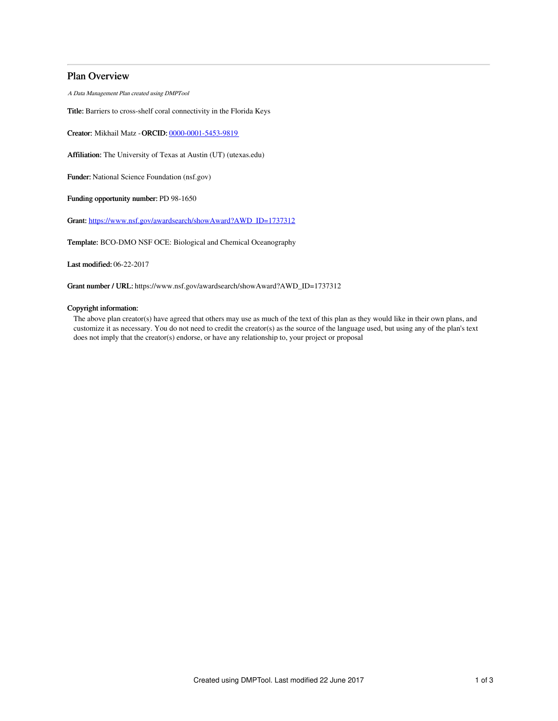# Plan Overview

A Data Management Plan created using DMPTool

Title: Barriers to cross-shelf coral connectivity in the Florida Keys

Creator: Mikhail Matz -ORCID: [0000-0001-5453-9819](https://orcid.org/0000-0001-5453-9819)

Affiliation: The University of Texas at Austin (UT) (utexas.edu)

Funder: National Science Foundation (nsf.gov)

Funding opportunity number: PD 98-1650

Grant: [https://www.nsf.gov/awardsearch/showAward?AWD\\_ID=1737312](https://www.nsf.gov/awardsearch/showAward?AWD_ID=1737312)

Template: BCO-DMO NSF OCE: Biological and Chemical Oceanography

Last modified: 06-22-2017

Grant number / URL: https://www.nsf.gov/awardsearch/showAward?AWD\_ID=1737312

## Copyright information:

The above plan creator(s) have agreed that others may use as much of the text of this plan as they would like in their own plans, and customize it as necessary. You do not need to credit the creator(s) as the source of the language used, but using any of the plan's text does not imply that the creator(s) endorse, or have any relationship to, your project or proposal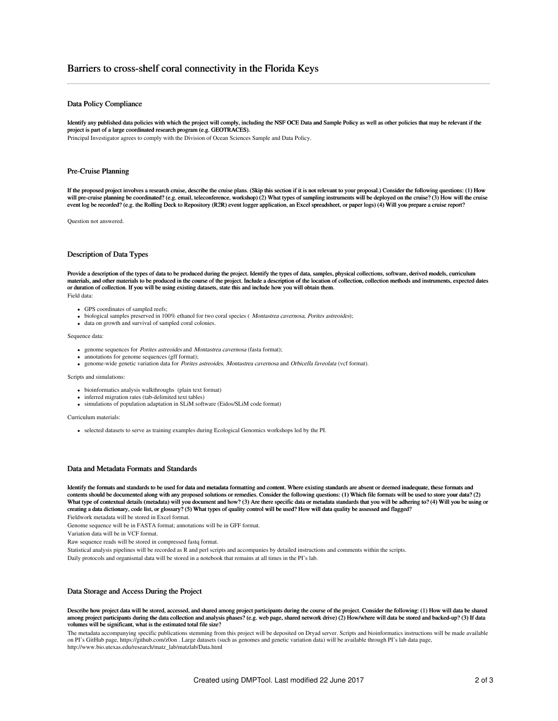# Barriers to cross-shelf coral connectivity in the Florida Keys

## Data Policy Compliance

Identify any published data policies with which the project will comply, including the NSF OCE Data and Sample Policy as well as other policies that may be relevant if the project is part of a large coordinated research program (e.g. GEOTRACES).

Principal Investigator agrees to comply with the Division of Ocean Sciences Sample and Data Policy.

## Pre-Cruise Planning

If the proposed project involves a research cruise, describe the cruise plans. (Skip this section if it is not relevant to your proposal.) Consider the following questions: (1) How will pre-cruise planning be coordinated? (e.g. email, teleconference, workshop) (2) What types of sampling instruments will be deployed on the cruise? (3) How will the cruise event log be recorded? (e.g. the Rolling Deck to Repository (R2R) event logger application, an Excel spreadsheet, or paper logs) (4) Will you prepare a cruise report?

Question not answered.

### Description of Data Types

Provide a description of the types of data to be produced during the project. Identify the types of data, samples, physical collections, software, derived models, curriculum materials, and other materials to be produced in the course of the project. Include a description of the location of collection, collection methods and instruments, expected dates or duration of collection. If you will be using existing datasets, state this and include how you will obtain them.

Field data:

- GPS coordinates of sampled reefs;
- $\bullet$  biological samples preserved in 100% ethanol for two coral species (*Montastrea cavernosa, Porites astreoides*);
- data on growth and survival of sampled coral colonies.

#### Sequence data:

- genome sequences for Porites astreoides and Montastrea cavernosa (fasta format);
- annotations for genome sequences (gff format);
- genome-wide genetic variation data for *Porites astreoides, Montastrea cavernosa* and *Orbicella faveolata* (vcf format).

#### Scripts and simulations:

- bioinformatics analysis walkthroughs (plain text format)
- inferred migration rates (tab-delimited text tables)
- simulations of population adaptation in SLiM software (Eidos/SLiM code format)

Curriculum materials:

selected datasets to serve as training examples during Ecological Genomics workshops led by the PI.

### Data and Metadata Formats and Standards

Identify the formats and standards to be used for data and metadata formatting and content. Where existing standards are absent or deemed inadequate, these formats and contents should be documented along with any proposed solutions or remedies. Consider the following questions: (1) Which file formats will be used to store your data? (2) What type of contextual details (metadata) will you document and how? (3) Are there specific data or metadata standards that you will be adhering to? (4) Will you be using or creating a data dictionary, code list, or glossary? (5) What types of quality control will be used? How will data quality be assessed and flagged? Fieldwork metadata will be stored in Excel format.

Genome sequence will be in FASTA format; annotations will be in GFF format.

Variation data will be in VCF format.

Raw sequence reads will be stored in compressed fastq format.

Statistical analysis pipelines will be recorded as R and perl scripts and accompanies by detailed instructions and comments within the scripts.

Daily protocols and organismal data will be stored in a notebook that remains at all times in the PI's lab.

### Data Storage and Access During the Project

Describe how project data will be stored, accessed, and shared among project participants during the course of the project. Consider the following: (1) How will data be shared among project participants during the data collection and analysis phases? (e.g. web page, shared network drive) (2) How/where will data be stored and backed-up? (3) If data volumes will be significant, what is the estimated total file size?

The metadata accompanying specific publications stemming from this project will be deposited on Dryad server. Scripts and bioinformatics instructions will be made available on PI's GitHub page, https://github.com/z0on . Large datasets (such as genomes and genetic variation data) will be available through PI's lab data page, http://www.bio.utexas.edu/research/matz\_lab/matzlab/Data.html